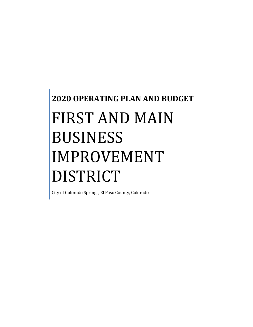# **2020 OPERATING PLAN AND BUDGET** FIRST AND MAIN BUSINESS IMPROVEMENT DISTRICT

City of Colorado Springs, El Paso County, Colorado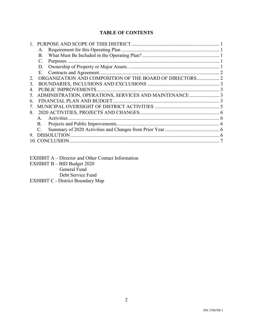# **TABLE OF CONTENTS**

|     | A.              |                                                          |  |
|-----|-----------------|----------------------------------------------------------|--|
|     | B.              |                                                          |  |
|     | $\mathbf{C}$ .  |                                                          |  |
|     | D.              |                                                          |  |
|     | Е.              |                                                          |  |
| 2.  |                 | ORGANIZATION AND COMPOSITION OF THE BOARD OF DIRECTORS 2 |  |
| 3.  |                 |                                                          |  |
|     |                 |                                                          |  |
| 5.  |                 |                                                          |  |
| 6.  |                 |                                                          |  |
|     |                 |                                                          |  |
| 8.  |                 |                                                          |  |
|     | A.              |                                                          |  |
|     | B.              |                                                          |  |
|     | $\mathcal{C}$ . |                                                          |  |
| 9.  |                 |                                                          |  |
| 10. |                 | <b>CONCLUSION</b>                                        |  |

EXHIBIT A – Director and Other Contact Information

EXHIBIT B – BID Budget 2020

General Fund

Debt Service Fund

EXHIBIT C - District Boundary Map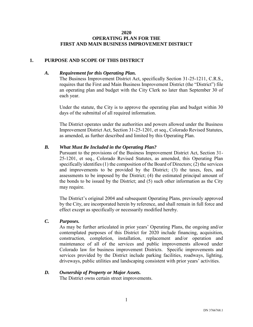#### **2020 OPERATING PLAN FOR THE FIRST AND MAIN BUSINESS IMPROVEMENT DISTRICT**

#### <span id="page-2-1"></span><span id="page-2-0"></span>**1. PURPOSE AND SCOPE OF THIS DISTRICT**

#### *A. Requirement for this Operating Plan.*

The Business Improvement District Act, specifically Section 31-25-1211, C.R.S., requires that the First and Main Business Improvement District (the "District") file an operating plan and budget with the City Clerk no later than September 30 of each year.

Under the statute, the City is to approve the operating plan and budget within 30 days of the submittal of all required information.

The District operates under the authorities and powers allowed under the Business Improvement District Act, Section 31-25-1201, et seq., Colorado Revised Statutes, as amended, as further described and limited by this Operating Plan.

#### <span id="page-2-2"></span>*B. What Must Be Included in the Operating Plan?*

Pursuant to the provisions of the Business Improvement District Act, Section 31- 25-1201, et seq., Colorado Revised Statutes, as amended, this Operating Plan specifically identifies (1) the composition of the Board of Directors; (2) the services and improvements to be provided by the District; (3) the taxes, fees, and assessments to be imposed by the District; (4) the estimated principal amount of the bonds to be issued by the District; and (5) such other information as the City may require.

The District's original 2004 and subsequent Operating Plans, previously approved by the City, are incorporated herein by reference, and shall remain in full force and effect except as specifically or necessarily modified hereby.

## <span id="page-2-3"></span>*C. Purposes.*

As may be further articulated in prior years' Operating Plans, the ongoing and/or contemplated purposes of this District for 2020 include financing, acquisition, construction, completion, installation, replacement and/or operation and maintenance of all of the services and public improvements allowed under Colorado law for business improvement Districts. Specific improvements and services provided by the District include parking facilities, roadways, lighting, driveways, public utilities and landscaping consistent with prior years' activities.

#### <span id="page-2-4"></span>*D. Ownership of Property or Major Assets.*

The District owns certain street improvements.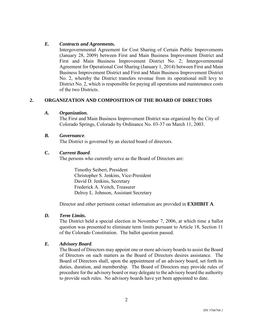## <span id="page-3-0"></span>*E. Contracts and Agreements.*

Intergovernmental Agreement for Cost Sharing of Certain Public Improvements (January 28, 2009) between First and Main Business Improvement District and First and Main Business Improvement District No. 2; Intergovernmental Agreement for Operational Cost Sharing (January 1, 2014) between First and Main Business Improvement District and First and Main Business Improvement District No. 2, whereby the District transfers revenue from its operational mill levy to District No. 2, which is responsible for paying all operations and maintenance costs of the two Districts.

# <span id="page-3-1"></span>**2. ORGANIZATION AND COMPOSITION OF THE BOARD OF DIRECTORS**

#### *A. Organization.*

The First and Main Business Improvement District was organized by the City of Colorado Springs, Colorado by Ordinance No. 03-37 on March 11, 2003.

#### *B. Governance.*

The District is governed by an elected board of directors.

#### **C.** *Current Board*.

The persons who currently serve as the Board of Directors are:

Timothy Seibert, President Christopher S. Jenkins, Vice-President David D. Jenkins, Secretary Frederick A. Veitch, Treasurer Delroy L. Johnson, Assistant Secretary

Director and other pertinent contact information are provided in **EXHIBIT A**.

## *D. Term Limits.*

The District held a special election in November 7, 2006, at which time a ballot question was presented to eliminate term limits pursuant to Article 18, Section 11 of the Colorado Constitution. The ballot question passed.

## *E. Advisory Board.*

The Board of Directors may appoint one or more advisory boards to assist the Board of Directors on such matters as the Board of Directors desires assistance. The Board of Directors shall, upon the appointment of an advisory board, set forth its duties, duration, and membership. The Board of Directors may provide rules of procedure for the advisory board or may delegate to the advisory board the authority to provide such rules. No advisory boards have yet been appointed to date.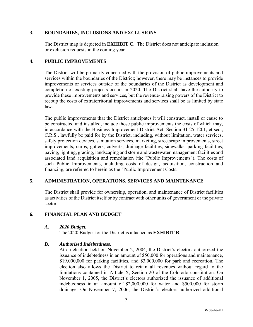# <span id="page-4-0"></span>**3. BOUNDARIES, INCLUSIONS AND EXCLUSIONS**

The District map is depicted in **EXHIBIT C**. The District does not anticipate inclusion or exclusion requests in the coming year.

# <span id="page-4-1"></span>**4. PUBLIC IMPROVEMENTS**

The District will be primarily concerned with the provision of public improvements and services within the boundaries of the District; however, there may be instances to provide improvements or services outside of the boundaries of the District as development and completion of existing projects occurs in 2020. The District shall have the authority to provide these improvements and services, but the revenue-raising powers of the District to recoup the costs of extraterritorial improvements and services shall be as limited by state law.

The public improvements that the District anticipates it will construct, install or cause to be constructed and installed, include those public improvements the costs of which may, in accordance with the Business Improvement District Act, Section 31-25-1201, et seq., C.R.S., lawfully be paid for by the District, including, without limitation, water services, safety protection devices, sanitation services, marketing, streetscape improvements, street improvements, curbs, gutters, culverts, drainage facilities, sidewalks, parking facilities, paving, lighting, grading, landscaping and storm and wastewater management facilities and associated land acquisition and remediation (the "Public Improvements"). The costs of such Public Improvements, including costs of design, acquisition, construction and financing, are referred to herein as the "Public Improvement Costs."

# <span id="page-4-2"></span>**5. ADMINISTRATION, OPERATIONS, SERVICES AND MAINTENANCE**

The District shall provide for ownership, operation, and maintenance of District facilities as activities of the District itself or by contract with other units of government or the private sector.

## <span id="page-4-3"></span>**6. FINANCIAL PLAN AND BUDGET**

## *A. 2020 Budget.*

The 2020 Budget for the District is attached as **EXHIBIT B**.

## *B. Authorized Indebtedness.*

At an election held on November 2, 2004, the District's electors authorized the issuance of indebtedness in an amount of \$50,000 for operations and maintenance, \$19,000,000 for parking facilities, and \$3,000,000 for park and recreation. The election also allows the District to retain all revenues without regard to the limitations contained in Article X, Section 20 of the Colorado constitution. On November 1, 2005, the District's electors authorized the issuance of additional indebtedness in an amount of \$2,000,000 for water and \$500,000 for storm drainage. On November 7, 2006, the District's electors authorized additional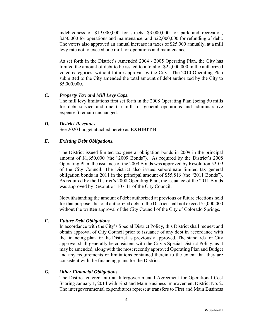indebtedness of \$19,000,000 for streets, \$3,000,000 for park and recreation, \$250,000 for operations and maintenance, and \$22,000,000 for refunding of debt. The voters also approved an annual increase in taxes of \$25,000 annually, at a mill levy rate not to exceed one mill for operations and maintenance.

As set forth in the District's Amended 2004 - 2005 Operating Plan, the City has limited the amount of debt to be issued to a total of \$22,000,000 in the authorized voted categories, without future approval by the City. The 2010 Operating Plan submitted to the City amended the total amount of debt authorized by the City to \$5,000,000.

#### *C. Property Tax and Mill Levy Caps.*

The mill levy limitations first set forth in the 2008 Operating Plan (being 50 mills for debt service and one (1) mill for general operations and administrative expenses) remain unchanged.

#### *D. District Revenues.*

See 2020 budget attached hereto as **EXHIBIT B**.

## *E. Existing Debt Obligations.*

The District issued limited tax general obligation bonds in 2009 in the principal amount of \$1,650,000 (the "2009 Bonds"). As required by the District's 2008 Operating Plan, the issuance of the 2009 Bonds was approved by Resolution 52-09 of the City Council. The District also issued subordinate limited tax general obligation bonds in 2011 in the principal amount of \$55,816 (the "2011 Bonds"). As required by the District's 2008 Operating Plan, the issuance of the 2011 Bonds was approved by Resolution 107-11 of the City Council.

Notwithstanding the amount of debt authorized at previous or future elections held for that purpose, the total authorized debt of the District shall not exceed \$5,000,000 without the written approval of the City Council of the City of Colorado Springs.

#### *F. Future Debt Obligations.*

In accordance with the City's Special District Policy, this District shall request and obtain approval of City Council prior to issuance of any debt in accordance with the financing plan for the District as previously approved. The standards for City approval shall generally be consistent with the City's Special District Policy, as it may be amended, along with the most recently approved Operating Plan and Budget and any requirements or limitations contained therein to the extent that they are consistent with the financing plans for the District.

#### *G. Other Financial Obligations.*

The District entered into an Intergovernmental Agreement for Operational Cost Sharing January 1, 2014 with First and Main Business Improvement District No. 2. The intergovernmental expenditures represent transfers to First and Main Business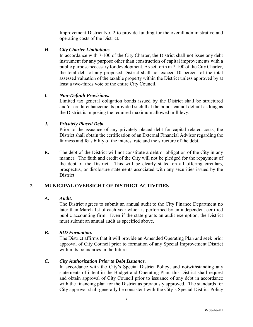Improvement District No. 2 to provide funding for the overall administrative and operating costs of the District.

## *H. City Charter Limitations.*

In accordance with 7-100 of the City Charter, the District shall not issue any debt instrument for any purpose other than construction of capital improvements with a public purpose necessary for development. As set forth in 7-100 of the City Charter, the total debt of any proposed District shall not exceed 10 percent of the total assessed valuation of the taxable property within the District unless approved by at least a two-thirds vote of the entire City Council.

# *I. Non-Default Provisions.*

Limited tax general obligation bonds issued by the District shall be structured and/or credit enhancements provided such that the bonds cannot default as long as the District is imposing the required maximum allowed mill levy.

# *J. Privately Placed Debt.*

Prior to the issuance of any privately placed debt for capital related costs, the District shall obtain the certification of an External Financial Advisor regarding the fairness and feasibility of the interest rate and the structure of the debt.

*K.* The debt of the District will not constitute a debt or obligation of the City in any manner. The faith and credit of the City will not be pledged for the repayment of the debt of the District. This will be clearly stated on all offering circulars, prospectus, or disclosure statements associated with any securities issued by the **District** 

# <span id="page-6-0"></span>**7. MUNICIPAL OVERSIGHT OF DISTRICT ACTIVITIES**

## *A. Audit.*

The District agrees to submit an annual audit to the City Finance Department no later than March 1st of each year which is performed by an independent certified public accounting firm. Even if the state grants an audit exemption, the District must submit an annual audit as specified above.

## *B. SID Formation.*

The District affirms that it will provide an Amended Operating Plan and seek prior approval of City Council prior to formation of any Special Improvement District within its boundaries in the future.

# *C. City Authorization Prior to Debt Issuance.*

In accordance with the City's Special District Policy, and notwithstanding any statements of intent in the Budget and Operating Plan, this District shall request and obtain approval of City Council prior to issuance of any debt in accordance with the financing plan for the District as previously approved. The standards for City approval shall generally be consistent with the City's Special District Policy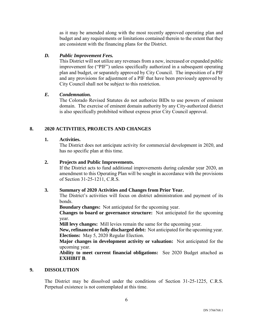as it may be amended along with the most recently approved operating plan and budget and any requirements or limitations contained therein to the extent that they are consistent with the financing plans for the District.

## *D. Public Improvement Fees.*

This District will not utilize any revenues from a new, increased or expanded public improvement fee ("PIF") unless specifically authorized in a subsequent operating plan and budget, or separately approved by City Council. The imposition of a PIF and any provisions for adjustment of a PIF that have been previously approved by City Council shall not be subject to this restriction.

#### *E. Condemnation.*

The Colorado Revised Statutes do not authorize BIDs to use powers of eminent domain. The exercise of eminent domain authority by any City-authorized district is also specifically prohibited without express prior City Council approval.

## <span id="page-7-0"></span>**8. 2020 ACTIVITIES, PROJECTS AND CHANGES**

#### <span id="page-7-1"></span>**1. Activities.**

The District does not anticipate activity for commercial development in 2020, and has no specific plan at this time.

#### <span id="page-7-2"></span>**2. Projects and Public Improvements.**

If the District acts to fund additional improvements during calendar year 2020, an amendment to this Operating Plan will be sought in accordance with the provisions of Section 31-25-1211, C.R.S.

## <span id="page-7-3"></span>**3. Summary of 2020 Activities and Changes from Prior Year.**

The District's activities will focus on district administration and payment of its bonds.

**Boundary changes:** Not anticipated for the upcoming year.

**Changes to board or governance structure:** Not anticipated for the upcoming year.

**Mill levy changes:** Mill levies remain the same for the upcoming year.

**New, refinanced or fully discharged debt:** Not anticipated for the upcoming year. **Elections:** May 5, 2020 Regular Election.

**Major changes in development activity or valuation:** Not anticipated for the upcoming year.

**Ability to meet current financial obligations:** See 2020 Budget attached as **EXHIBIT B**.

#### **9. DISSOLUTION**

The District may be dissolved under the conditions of Section 31-25-1225, C.R.S. Perpetual existence is not contemplated at this time.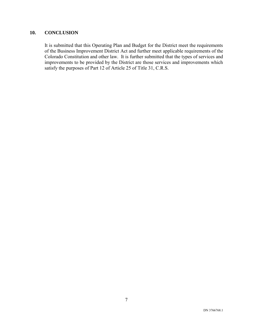# <span id="page-8-0"></span>**10. CONCLUSION**

It is submitted that this Operating Plan and Budget for the District meet the requirements of the Business Improvement District Act and further meet applicable requirements of the Colorado Constitution and other law. It is further submitted that the types of services and improvements to be provided by the District are those services and improvements which satisfy the purposes of Part 12 of Article 25 of Title 31, C.R.S.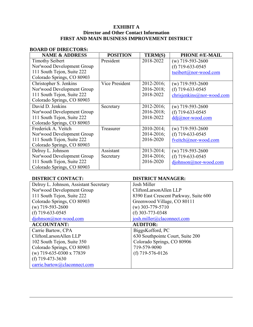# **EXHIBIT A Director and Other Contact Information FIRST AND MAIN BUSINESS IMPROVEMENT DISTRICT**

# **BOARD OF DIRECTORS:**

| <b>NAME &amp; ADDRESS</b>  | <b>POSITION</b> | <b>TERM(S)</b>  | <b>PHONE #/E-MAIL</b>     |
|----------------------------|-----------------|-----------------|---------------------------|
| <b>Timothy Seibert</b>     | President       | 2018-2022       | $(w)$ 719-593-2600        |
| Nor'wood Development Group |                 |                 | (f) $719-633-0545$        |
| 111 South Tejon, Suite 222 |                 |                 | tseibert@nor-wood.com     |
| Colorado Springs, CO 80903 |                 |                 |                           |
| Christopher S. Jenkins     | Vice President  | $2012 - 2016$ ; | $(w)$ 719-593-2600        |
| Nor'wood Development Group |                 | 2016-2018;      | (f) $719-633-0545$        |
| 111 South Tejon, Suite 222 |                 | 2018-2022       | chrisjenkins@nor-wood.com |
| Colorado Springs, CO 80903 |                 |                 |                           |
| David D. Jenkins           | Secretary       | 2012-2016;      | $(w)$ 719-593-2600        |
| Nor'wood Development Group |                 | 2016-2018;      | (f) $719-633-0545$        |
| 111 South Tejon, Suite 222 |                 | 2018-2022       | $ddj@nor-wood.com$        |
| Colorado Springs, CO 80903 |                 |                 |                           |
| Frederick A. Veitch        | Treasurer       | $2010 - 2014$ ; | $(w)$ 719-593-2600        |
| Nor'wood Development Group |                 | $2014 - 2016$ ; | (f) $719-633-0545$        |
| 111 South Tejon, Suite 222 |                 | 2016-2020       | fveitch@nor-wood.com      |
| Colorado Springs, CO 80903 |                 |                 |                           |
| Delroy L. Johnson          | Assistant       | $2013 - 2014$ ; | $(w)$ 719-593-2600        |
| Nor'wood Development Group | Secretary       | 2014-2016;      | (f) $719-633-0545$        |
| 111 South Tejon, Suite 222 |                 | 2016-2020       | djohnson@nor-wood.com     |
| Colorado Springs, CO 80903 |                 |                 |                           |

# **DISTRICT CONTACT: DISTRICT MANAGER:**

| DISTINCT CONTACT:                      | рютмет мамачем.                       |
|----------------------------------------|---------------------------------------|
| Delroy L. Johnson, Assistant Secretary | Josh Miller                           |
| Nor'wood Development Group             | CliftonLarsonAllen LLP                |
| 111 South Tejon, Suite 222             | 8390 East Crescent Parkway, Suite 600 |
| Colorado Springs, CO 80903             | Greenwood Village, CO 80111           |
| $(w)$ 719-593-2600                     | $(w)$ 303-779-5710                    |
| (f) $719-633-0545$                     | (f) $303 - 773 - 0348$                |
| $diphnson@nor-wood.com$                | josh.miller@claconnect.com            |
| <b>ACCOUNTANT:</b>                     | <b>AUDITOR:</b>                       |
| Carrie Bartow, CPA                     | BiggsKofford, PC                      |
| CliftonLarsonAllen LLP                 | 630 Southpointe Court, Suite 200      |
| 102 South Tejon, Suite 350             | Colorado Springs, CO 80906            |
| Colorado Springs, CO 80903             | 719-579-9090                          |
| (w) 719-635-0300 x 77839               | (f) $719-576-0126$                    |
| (f) $719-473-3630$                     |                                       |
| carrie.bartow@claconnect.com           |                                       |
|                                        |                                       |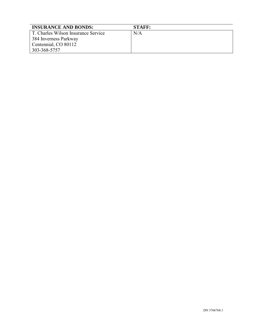| <b>INSURANCE AND BONDS:</b>         | <b>STAFF:</b> |
|-------------------------------------|---------------|
| T. Charles Wilson Insurance Service | N/A           |
| 384 Inverness Parkway               |               |
| Centennial, CO 80112                |               |
| 303-368-5757                        |               |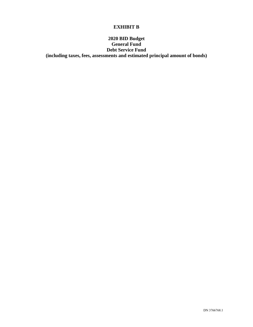# **EXHIBIT B**

# **2020 BID Budget General Fund Debt Service Fund (including taxes, fees, assessments and estimated principal amount of bonds)**